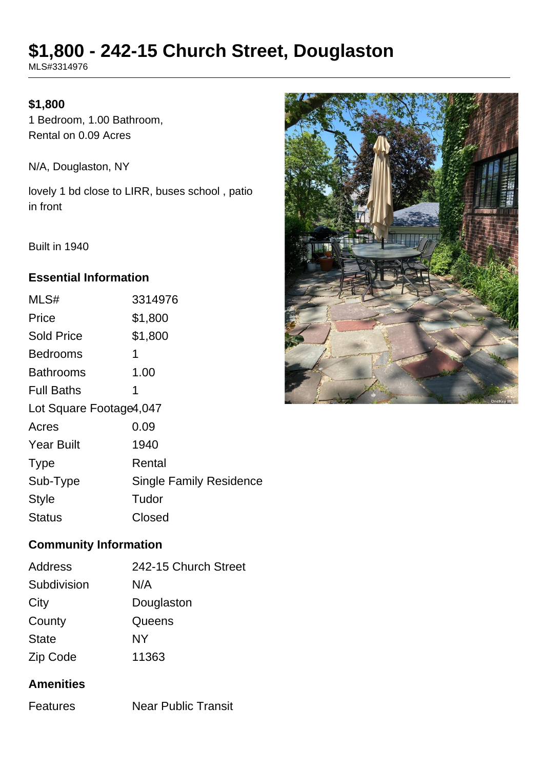# **\$1,800 - 242-15 Church Street, Douglaston**

MLS#3314976

## **\$1,800**

1 Bedroom, 1.00 Bathroom, Rental on 0.09 Acres

N/A, Douglaston, NY

lovely 1 bd close to LIRR, buses school , patio in front

Built in 1940

## **Essential Information**

| MLS#                    | 3314976                        |
|-------------------------|--------------------------------|
| Price                   | \$1,800                        |
| <b>Sold Price</b>       | \$1,800                        |
| Bedrooms                | 1                              |
| Bathrooms               | 1.00                           |
| <b>Full Baths</b>       | 1                              |
| Lot Square Footage4,047 |                                |
| Acres                   | 0.09                           |
| <b>Year Built</b>       | 1940                           |
| <b>Type</b>             | Rental                         |
| Sub-Type                | <b>Single Family Residence</b> |
| <b>Style</b>            | Tudor                          |
| Status                  | Closed                         |
|                         |                                |

## **Community Information**

| Address      | 242-15 Church Street |
|--------------|----------------------|
| Subdivision  | N/A                  |
| City         | Douglaston           |
| County       | Queens               |
| <b>State</b> | NΥ                   |
| Zip Code     | 11363                |

## **Amenities**

Features Near Public Transit